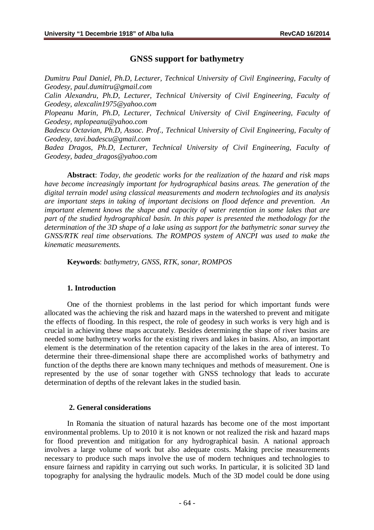## **GNSS support for bathymetry**

*Dumitru Paul Daniel, Ph.D, Lecturer, Technical University of Civil Engineering, Faculty of Geodesy, [paul.dumitru@gmail.com](mailto:paul.dumitru@gmail.com)*

*Calin Alexandru, Ph.D, Lecturer, Technical University of Civil Engineering, Faculty of Geodesy, [alexcalin1975@yahoo.com](mailto:alexcalin1975@yahoo.com)*

*Plopeanu Marin, Ph.D, Lecturer, Technical University of Civil Engineering, Faculty of Geodesy, [mplopeanu@yahoo.com](mailto:mplopeanu@yahoo.com)*

*Badescu Octavian, Ph.D, Assoc. Prof., Technical University of Civil Engineering, Faculty of Geodesy, [tavi.badescu@gmail.com](mailto:tavi.badescu@gmail.com)*

*Badea Dragos, Ph.D, Lecturer, Technical University of Civil Engineering, Faculty of Geodesy, [badea\\_dragos@yahoo.com](mailto:badea_dragos@yahoo.com)*

**Abstract**: *Today, the geodetic works for the realization of the hazard and risk maps have become increasingly important for hydrographical basins areas. The generation of the digital terrain model using classical measurements and modern technologies and its analysis are important steps in taking of important decisions on flood defence and prevention. An important element knows the shape and capacity of water retention in some lakes that are part of the studied hydrographical basin. In this paper is presented the methodology for the determination of the 3D shape of a lake using as support for the bathymetric sonar survey the GNSS/RTK real time observations. The ROMPOS system of ANCPI was used to make the kinematic measurements.*

**Keywords**: *bathymetry, GNSS, RTK, sonar, ROMPOS*

#### **1. Introduction**

One of the thorniest problems in the last period for which important funds were allocated was the achieving the risk and hazard maps in the watershed to prevent and mitigate the effects of flooding. In this respect, the role of geodesy in such works is very high and is crucial in achieving these maps accurately. Besides determining the shape of river basins are needed some bathymetry works for the existing rivers and lakes in basins. Also, an important element is the determination of the retention capacity of the lakes in the area of interest. To determine their three-dimensional shape there are accomplished works of bathymetry and function of the depths there are known many techniques and methods of measurement. One is represented by the use of sonar together with GNSS technology that leads to accurate determination of depths of the relevant lakes in the studied basin.

#### **2. General considerations**

In Romania the situation of natural hazards has become one of the most important environmental problems. Up to 2010 it is not known or not realized the risk and hazard maps for flood prevention and mitigation for any hydrographical basin. A national approach involves a large volume of work but also adequate costs. Making precise measurements necessary to produce such maps involve the use of modern techniques and technologies to ensure fairness and rapidity in carrying out such works. In particular, it is solicited 3D land topography for analysing the hydraulic models. Much of the 3D model could be done using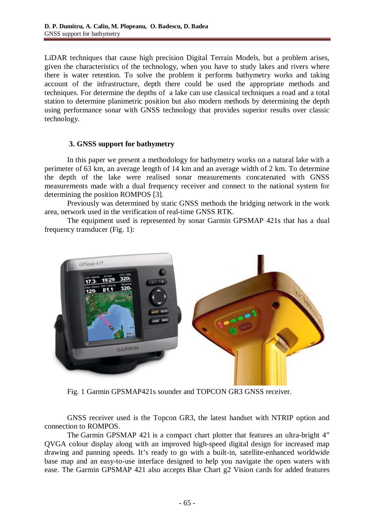LiDAR techniques that cause high precision Digital Terrain Models, but a problem arises, given the characteristics of the technology, when you have to study lakes and rivers where there is water retention. To solve the problem it performs bathymetry works and taking account of the infrastructure, depth there could be used the appropriate methods and techniques. For determine the depths of a lake can use classical techniques a road and a total station to determine planimetric position but also modern methods by determining the depth using performance sonar with GNSS technology that provides superior results over classic technology.

### **3. GNSS support for bathymetry**

In this paper we present a methodology for bathymetry works on a natural lake with a perimeter of 63 km, an average length of 14 km and an average width of 2 km. To determine the depth of the lake were realised sonar measurements concatenated with GNSS measurements made with a dual frequency receiver and connect to the national system for determining the position ROMPOS [3].

Previously was determined by static GNSS methods the bridging network in the work area, network used in the verification of real-time GNSS RTK.

The equipment used is represented by sonar Garmin GPSMAP 421s that has a dual frequency transducer (Fig. 1):



Fig. 1 Garmin GPSMAP421s sounder and TOPCON GR3 GNSS receiver.

GNSS receiver used is the Topcon GR3, the latest handset with NTRIP option and connection to ROMPOS.

The Garmin GPSMAP 421 is a compact chart plotter that features an ultra-bright 4" QVGA colour display along with an improved high-speed digital design for increased map drawing and panning speeds. It's ready to go with a built-in, satellite-enhanced worldwide base map and an easy-to-use interface designed to help you navigate the open waters with ease. The Garmin GPSMAP 421 also accepts Blue Chart g2 Vision cards for added features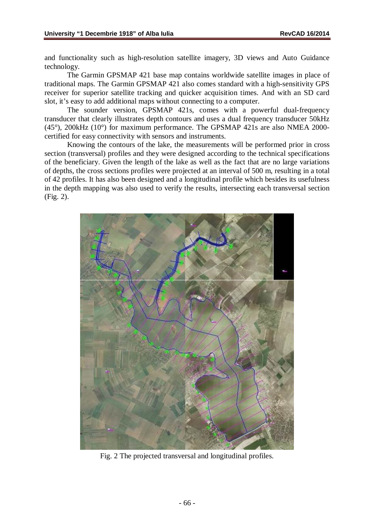and functionality such as high-resolution satellite imagery, 3D views and Auto Guidance technology.

The Garmin GPSMAP 421 base map contains worldwide satellite images in place of traditional maps. The Garmin GPSMAP 421 also comes standard with a high-sensitivity GPS receiver for superior satellite tracking and quicker acquisition times. And with an SD card slot, it's easy to add additional maps without connecting to a computer.

The sounder version, GPSMAP 421s, comes with a powerful dual-frequency transducer that clearly illustrates depth contours and uses a dual frequency transducer 50kHz (45°), 200kHz (10°) for maximum performance. The GPSMAP 421s are also NMEA 2000 certified for easy connectivity with sensors and instruments.

Knowing the contours of the lake, the measurements will be performed prior in cross section (transversal) profiles and they were designed according to the technical specifications of the beneficiary. Given the length of the lake as well as the fact that are no large variations of depths, the cross sections profiles were projected at an interval of 500 m, resulting in a total of 42 profiles. It has also been designed and a longitudinal profile which besides its usefulness in the depth mapping was also used to verify the results, intersecting each transversal section (Fig. 2).



Fig. 2 The projected transversal and longitudinal profiles.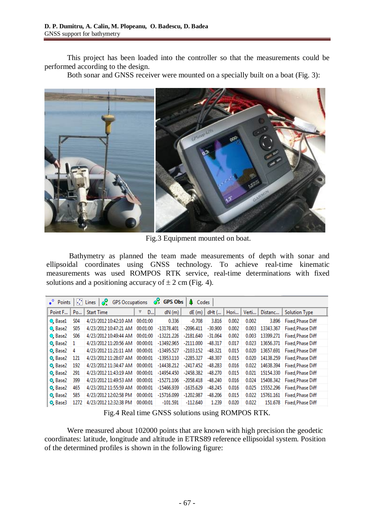This project has been loaded into the controller so that the measurements could be performed according to the design.

Both sonar and GNSS receiver were mounted on a specially built on a boat (Fig. 3):



Fig.3 Equipment mounted on boat.

Bathymetry as planned the team made measurements of depth with sonar and ellipsoidal coordinates using GNSS technology. To achieve real-time kinematic measurements was used ROMPOS RTK service, real-time determinations with fixed solutions and a positioning accuracy of  $\pm 2$  cm (Fig. 4).

| <b>O</b> , GPS Obs<br>$\sqrt{2}$ Lines $\sqrt{2}$ GPS Occupations<br><b>4</b> Codes<br>$\bullet$ Points |                |                       |          |              |             |           |       |       |           |                                   |
|---------------------------------------------------------------------------------------------------------|----------------|-----------------------|----------|--------------|-------------|-----------|-------|-------|-----------|-----------------------------------|
| Point F                                                                                                 | Po             | <b>Start Time</b>     | ▼<br>D   | dN(m)        | dE(m)       | dHt (     | Hori  | Verti | Distanc   | <b>Solution Type</b>              |
| <b>O</b> Basel                                                                                          | <b>SO4</b>     | 4/23/2012 10:42:10 AM | 00:01:00 | 0.336        | $-0.708$    | 3.816     | 0.002 | 0.002 | 3.896     | <b>Fixed, Phase Diff</b>          |
| <b>Q</b> Base2                                                                                          | S05            | 4/23/2012 10:47:21 AM | 00:01:00 | $-13178.401$ | -2096.411   | $-30.900$ | 0.002 | 0.003 | 13343.367 | <b>Fixed, Phase Diff</b>          |
| C Base2                                                                                                 | <b>SO6</b>     | 4/23/2012 10:49:44 AM | 00:01:00 | -13221.226   | $-2181.640$ | $-31.064$ | 0.002 | 0.003 | 13399.271 | <b>Fixed, Phase Diff</b>          |
| <sup>®</sup> , Base2                                                                                    | $\blacksquare$ | 4/23/2012 11:20:56 AM | 00:00:01 | -13492.965   | $-2111.000$ | $-48.317$ | 0.017 | 0.023 |           | 13656.371 Fixed, Phase Diff       |
| <sup>®</sup> , Base2                                                                                    | 4              | 4/23/2012 11:21:11 AM | 00:00:01 | -13495.527   | -2103.152   | $-48.321$ | 0.015 | 0.020 | 13657.691 | Fixed, Phase Diff                 |
| <sup>®</sup> , Base2                                                                                    | 121            | 4/23/2012 11:28:07 AM | 00:00:01 | -13953.110   | -2285.327   | $-48.307$ | 0.015 | 0.020 |           | 14138.259 Fixed, Phase Diff       |
| <sup>®</sup> Base2                                                                                      | 192            | 4/23/2012 11:34:47 AM | 00:00:01 | $-14438.212$ | -2417.452   | $-48.283$ | 0.016 | 0.022 | 14638.394 | Fixed Phase Diff                  |
| <sup>®</sup> , Base2                                                                                    | 291            | 4/23/2012 11:43:19 AM | 00:00:01 | -14954.450   | -2458.382   | $-48.270$ | 0.015 | 0.021 |           | 15154.330 Fixed, Phase Diff       |
| <sup>®</sup> Base2                                                                                      | 399            | 4/23/2012 11:49:53 AM | 00:00:01 | $-15271.106$ | -2058.418   | $-48.240$ | 0.016 | 0.024 |           | 15408.342 Fixed, Phase Diff       |
| <sup>®</sup> , Base2                                                                                    | 465            | 4/23/2012 11:55:59 AM | 00:00:01 | -15466.939   | -1635.629   | $-48.245$ | 0.016 | 0.025 |           | 15552.296 Fixed, Phase Diff       |
| <sup>®</sup> , Base2                                                                                    | 585            | 4/23/2012 12:02:58 PM | 00:00:01 | $-15716.099$ | -1202.987   | $-48.206$ | 0.015 |       |           | 0.022 15761.161 Fixed, Phase Diff |
| <sup>Q</sup> , Base3                                                                                    | 1272           | 4/23/2012 12:32:38 PM | 00:00:01 | $-101.591$   | $-112.640$  | 1.239     | 0.020 | 0.022 | 151.678   | Fixed Phase Diff                  |

Fig.4 Real time GNSS solutions using ROMPOS RTK.

Were measured about 102000 points that are known with high precision the geodetic coordinates: latitude, longitude and altitude in ETRS89 reference ellipsoidal system. Position of the determined profiles is shown in the following figure: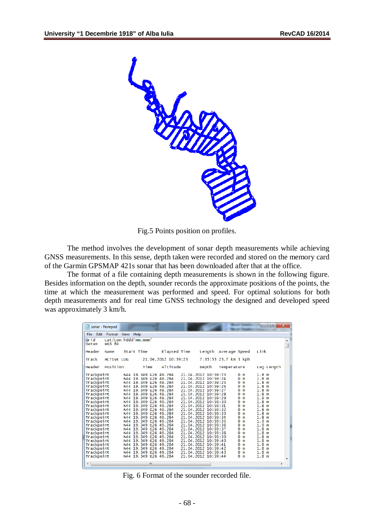

Fig.5 Points position on profiles.

The method involves the development of sonar depth measurements while achieving GNSS measurements. In this sense, depth taken were recorded and stored on the memory card of the Garmin GPSMAP 421s sonar that has been downloaded after that at the office.

The format of a file containing depth measurements is shown in the following figure. Besides information on the depth, sounder records the approximate positions of the points, the time at which the measurement was performed and speed. For optimal solutions for both depth measurements and for real time GNSS technology the designed and developed speed was approximately 3 km/h.

| sonar - Notepad                                                                                                                                                                                                                                                                                                  |                                                                                                                                                                                                                                                                                                                                                                                                                                                                                                                                                                    | $\overline{\mathbf{x}}$<br>Ð<br><b>O</b>                                                                                                                                                                                                                                                                                                                                                                                                                                                                                                                                                                                                                                                                                                                                                                                                                                                                                                                                                                                                                                                                                                                                                                                                                                                                                                                                           |     |
|------------------------------------------------------------------------------------------------------------------------------------------------------------------------------------------------------------------------------------------------------------------------------------------------------------------|--------------------------------------------------------------------------------------------------------------------------------------------------------------------------------------------------------------------------------------------------------------------------------------------------------------------------------------------------------------------------------------------------------------------------------------------------------------------------------------------------------------------------------------------------------------------|------------------------------------------------------------------------------------------------------------------------------------------------------------------------------------------------------------------------------------------------------------------------------------------------------------------------------------------------------------------------------------------------------------------------------------------------------------------------------------------------------------------------------------------------------------------------------------------------------------------------------------------------------------------------------------------------------------------------------------------------------------------------------------------------------------------------------------------------------------------------------------------------------------------------------------------------------------------------------------------------------------------------------------------------------------------------------------------------------------------------------------------------------------------------------------------------------------------------------------------------------------------------------------------------------------------------------------------------------------------------------------|-----|
| <b>File</b><br>Edit<br>Format                                                                                                                                                                                                                                                                                    | View<br>Help                                                                                                                                                                                                                                                                                                                                                                                                                                                                                                                                                       |                                                                                                                                                                                                                                                                                                                                                                                                                                                                                                                                                                                                                                                                                                                                                                                                                                                                                                                                                                                                                                                                                                                                                                                                                                                                                                                                                                                    |     |
| Grid<br><b>WGS 84</b><br>Datum                                                                                                                                                                                                                                                                                   | Lat/Lon hddd'mm.mmm'                                                                                                                                                                                                                                                                                                                                                                                                                                                                                                                                               |                                                                                                                                                                                                                                                                                                                                                                                                                                                                                                                                                                                                                                                                                                                                                                                                                                                                                                                                                                                                                                                                                                                                                                                                                                                                                                                                                                                    |     |
| Header<br>Name                                                                                                                                                                                                                                                                                                   | Elapsed Time<br>Start Time                                                                                                                                                                                                                                                                                                                                                                                                                                                                                                                                         | Link<br>Length Average Speed                                                                                                                                                                                                                                                                                                                                                                                                                                                                                                                                                                                                                                                                                                                                                                                                                                                                                                                                                                                                                                                                                                                                                                                                                                                                                                                                                       |     |
| Track                                                                                                                                                                                                                                                                                                            | 21.04.2012 10:59:23<br><b>ACTIVE LOG</b>                                                                                                                                                                                                                                                                                                                                                                                                                                                                                                                           | 7:35:53 25.7 km 3 kph                                                                                                                                                                                                                                                                                                                                                                                                                                                                                                                                                                                                                                                                                                                                                                                                                                                                                                                                                                                                                                                                                                                                                                                                                                                                                                                                                              |     |
| Position<br>Header                                                                                                                                                                                                                                                                                               | Altitude<br>Time                                                                                                                                                                                                                                                                                                                                                                                                                                                                                                                                                   | Leg Length<br>Depth<br>Temperature                                                                                                                                                                                                                                                                                                                                                                                                                                                                                                                                                                                                                                                                                                                                                                                                                                                                                                                                                                                                                                                                                                                                                                                                                                                                                                                                                 |     |
| Trackpoint<br>Trackpoint<br>Trackpoint<br>Trackpoint<br>Trackpoint<br>Trackpoint<br>Trackpoint<br>Trackpoint<br>Trackpoint<br>Trackpoint<br>Trackpoint<br>Trackpoint<br>Trackpoint<br>Trackpoint<br>Trackpoint<br>Trackpoint<br>Trackpoint<br>Trackpoint<br>Trackpoint<br>Trackpoint<br>Trackpoint<br>Trackpoint | N44 19.349 E26 49.284<br>N44 19.349 E26 49.284<br>N44 19.349 E26 49.284<br>N44 19.349 E26 49.284<br>N44 19.349 E26 49.284<br>N44 19.349 E26 49.284<br>N44 19.349 E26 49.284<br>N44 19.349 E26 49.284<br>N44 19.349 E26 49.284<br>N44 19.349 E26 49.284<br>N44 19.349 E26 49.284<br>N44 19.349 E26 49.284<br>N44 19.349 E26 49.284<br>N44 19.349 E26 49.284<br>N44 19.349 E26 49.284<br>N44 19.349 E26 49.284<br>N44 19.349 E26 49.284<br>N44 19.349 E26 49.284<br>N44 19.349 E26 49.284<br>N44 19.349 E26 49.284<br>N44 19.349 E26 49.284<br>N44 19.349 E26 49.284 | 21.04.2012 10:59:23<br>1.8 <sub>m</sub><br>0 <sub>m</sub><br>21.04.2012 10:59:24<br>1.8 <sub>m</sub><br>0 <sub>m</sub><br>21.04.2012 10:59:25<br>1.8 <sub>m</sub><br>0 <sub>m</sub><br>21.04.2012 10:59:26<br>1.8 <sub>m</sub><br>0 <sub>m</sub><br>21.04.2012 10:59:27<br>1.8 <sub>m</sub><br>0 <sub>m</sub><br>21.04.2012 10:59:28<br>1.8 <sub>m</sub><br>0 <sub>m</sub><br>21.04.2012 10:59:29<br>1.9 <sub>m</sub><br>0 <sub>m</sub><br>1.8 <sub>m</sub><br>21.04.2012 10:59:30<br>0 <sub>m</sub><br>1.8 <sub>m</sub><br>21.04.2012 10:59:31<br>$\Omega$<br>m<br>1.8 <sub>m</sub><br>21.04.2012 10:59:32<br>0 <sub>m</sub><br>1.8 <sub>m</sub><br>21.04.2012 10:59:33<br>0 <sub>m</sub><br>1.8 <sub>m</sub><br>21.04.2012 10:59:34<br>0 <sub>m</sub><br>21.04.2012 10:59:35<br>1.9 <sub>m</sub><br>0 <sub>m</sub><br>1.9 <sub>m</sub><br>21.04.2012 10:59:36<br>0 <sub>m</sub><br>1.8 <sub>m</sub><br>21.04.2012 10:59:37<br>0 <sub>m</sub><br>21.04.2012 10:59:38<br>1.8 <sub>m</sub><br>0 <sub>m</sub><br>1.8 <sub>m</sub><br>21.04.2012 10:59:39<br>0 <sub>m</sub><br>21.04.2012 10:59:40<br>1.8 <sub>m</sub><br>0 <sub>m</sub><br>21.04.2012 10:59:41<br>8 m<br>0 <sub>m</sub><br>1.<br>21.04.2012 10:59:42<br>1.8 <sub>m</sub><br>0 <sub>m</sub><br>21.04.2012 10:59:43<br>1.8 <sub>m</sub><br>0 <sub>m</sub><br>21.04.2012 10:59:44<br>1.8 <sub>m</sub><br>0 <sub>m</sub> |     |
| ∢                                                                                                                                                                                                                                                                                                                | ш.                                                                                                                                                                                                                                                                                                                                                                                                                                                                                                                                                                 | Þ                                                                                                                                                                                                                                                                                                                                                                                                                                                                                                                                                                                                                                                                                                                                                                                                                                                                                                                                                                                                                                                                                                                                                                                                                                                                                                                                                                                  | al. |

Fig. 6 Format of the sounder recorded file.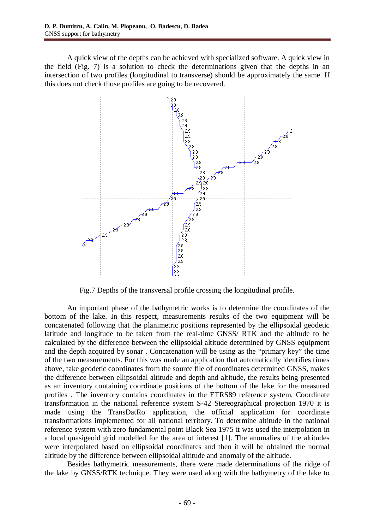A quick view of the depths can be achieved with specialized software. A quick view in the field (Fig. 7) is a solution to check the determinations given that the depths in an intersection of two profiles (longitudinal to transverse) should be approximately the same. If this does not check those profiles are going to be recovered.



Fig.7 Depths of the transversal profile crossing the longitudinal profile.

An important phase of the bathymetric works is to determine the coordinates of the bottom of the lake. In this respect, measurements results of the two equipment will be concatenated following that the planimetric positions represented by the ellipsoidal geodetic latitude and longitude to be taken from the real-time GNSS/ RTK and the altitude to be calculated by the difference between the ellipsoidal altitude determined by GNSS equipment and the depth acquired by sonar . Concatenation will be using as the "primary key" the time of the two measurements. For this was made an application that automatically identifies times above, take geodetic coordinates from the source file of coordinates determined GNSS, makes the difference between ellipsoidal altitude and depth and altitude, the results being presented as an inventory containing coordinate positions of the bottom of the lake for the measured profiles . The inventory contains coordinates in the ETRS89 reference system. Coordinate transformation in the national reference system S-42 Stereographical projection 1970 it is made using the TransDatRo application, the official application for coordinate transformations implemented for all national territory. To determine altitude in the national reference system with zero fundamental point Black Sea 1975 it was used the interpolation in a local quasigeoid grid modelled for the area of interest [1]. The anomalies of the altitudes were interpolated based on ellipsoidal coordinates and then it will be obtained the normal altitude by the difference between ellipsoidal altitude and anomaly of the altitude.

Besides bathymetric measurements, there were made determinations of the ridge of the lake by GNSS/RTK technique. They were used along with the bathymetry of the lake to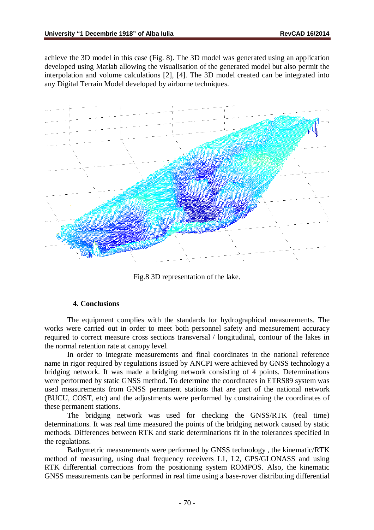achieve the 3D model in this case (Fig. 8). The 3D model was generated using an application developed using Matlab allowing the visualisation of the generated model but also permit the interpolation and volume calculations [2], [4]. The 3D model created can be integrated into any Digital Terrain Model developed by airborne techniques.



Fig.8 3D representation of the lake.

### **4. Conclusions**

The equipment complies with the standards for hydrographical measurements. The works were carried out in order to meet both personnel safety and measurement accuracy required to correct measure cross sections transversal / longitudinal, contour of the lakes in the normal retention rate at canopy level.

In order to integrate measurements and final coordinates in the national reference name in rigor required by regulations issued by ANCPI were achieved by GNSS technology a bridging network. It was made a bridging network consisting of 4 points. Determinations were performed by static GNSS method. To determine the coordinates in ETRS89 system was used measurements from GNSS permanent stations that are part of the national network (BUCU, COST, etc) and the adjustments were performed by constraining the coordinates of these permanent stations.

The bridging network was used for checking the GNSS/RTK (real time) determinations. It was real time measured the points of the bridging network caused by static methods. Differences between RTK and static determinations fit in the tolerances specified in the regulations.

Bathymetric measurements were performed by GNSS technology , the kinematic/RTK method of measuring, using dual frequency receivers L1, L2, GPS/GLONASS and using RTK differential corrections from the positioning system ROMPOS. Also, the kinematic GNSS measurements can be performed in real time using a base-rover distributing differential